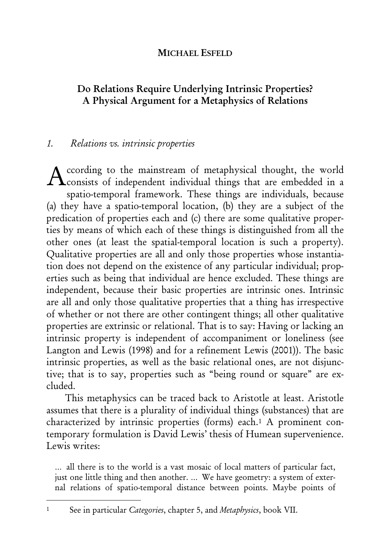## MICHAEL ESFELD

# Do Relations Require Underlying Intrinsic Properties? A Physical Argument for a Metaphysics of Relations

## 1. Relations vs. intrinsic properties

ccording to the mainstream of metaphysical thought, the world According to the mainstream of metaphysical thought, the world<br>
consists of independent individual things that are embedded in a spatio-temporal framework. These things are individuals, because (a) they have a spatio-temporal location, (b) they are a subject of the predication of properties each and (c) there are some qualitative properties by means of which each of these things is distinguished from all the other ones (at least the spatial-temporal location is such a property). Qualitative properties are all and only those properties whose instantiation does not depend on the existence of any particular individual; properties such as being that individual are hence excluded. These things are independent, because their basic properties are intrinsic ones. Intrinsic are all and only those qualitative properties that a thing has irrespective of whether or not there are other contingent things; all other qualitative properties are extrinsic or relational. That is to say: Having or lacking an intrinsic property is independent of accompaniment or loneliness (see Langton and Lewis (1998) and for a refinement Lewis (2001)). The basic intrinsic properties, as well as the basic relational ones, are not disjunctive; that is to say, properties such as "being round or square" are excluded.

This metaphysics can be traced back to Aristotle at least. Aristotle assumes that there is a plurality of individual things (substances) that are characterized by intrinsic properties (forms) each.1 A prominent contemporary formulation is David Lewis' thesis of Humean supervenience. Lewis writes:

… all there is to the world is a vast mosaic of local matters of particular fact, just one little thing and then another. … We have geometry: a system of external relations of spatio-temporal distance between points. Maybe points of

<sup>&</sup>lt;sup>1</sup> See in particular Categories, chapter 5, and Metaphysics, book VII.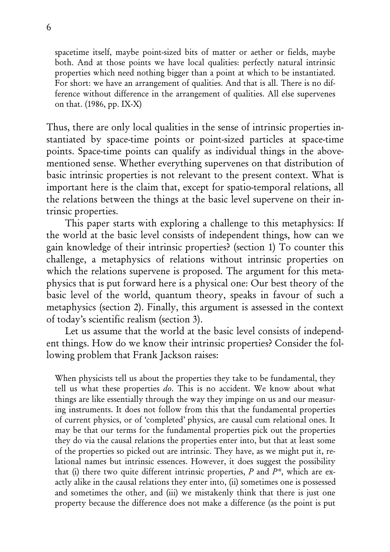spacetime itself, maybe point-sized bits of matter or aether or fields, maybe both. And at those points we have local qualities: perfectly natural intrinsic properties which need nothing bigger than a point at which to be instantiated. For short: we have an arrangement of qualities. And that is all. There is no difference without difference in the arrangement of qualities. All else supervenes on that. (1986, pp. IX-X)

Thus, there are only local qualities in the sense of intrinsic properties instantiated by space-time points or point-sized particles at space-time points. Space-time points can qualify as individual things in the abovementioned sense. Whether everything supervenes on that distribution of basic intrinsic properties is not relevant to the present context. What is important here is the claim that, except for spatio-temporal relations, all the relations between the things at the basic level supervene on their intrinsic properties.

This paper starts with exploring a challenge to this metaphysics: If the world at the basic level consists of independent things, how can we gain knowledge of their intrinsic properties? (section 1) To counter this challenge, a metaphysics of relations without intrinsic properties on which the relations supervene is proposed. The argument for this metaphysics that is put forward here is a physical one: Our best theory of the basic level of the world, quantum theory, speaks in favour of such a metaphysics (section 2). Finally, this argument is assessed in the context of today's scientific realism (section 3).

Let us assume that the world at the basic level consists of independent things. How do we know their intrinsic properties? Consider the following problem that Frank Jackson raises:

When physicists tell us about the properties they take to be fundamental, they tell us what these properties do. This is no accident. We know about what things are like essentially through the way they impinge on us and our measuring instruments. It does not follow from this that the fundamental properties of current physics, or of 'completed' physics, are causal cum relational ones. It may be that our terms for the fundamental properties pick out the properties they do via the causal relations the properties enter into, but that at least some of the properties so picked out are intrinsic. They have, as we might put it, relational names but intrinsic essences. However, it does suggest the possibility that (i) there two quite different intrinsic properties,  $P$  and  $P^*$ , which are exactly alike in the causal relations they enter into, (ii) sometimes one is possessed and sometimes the other, and (iii) we mistakenly think that there is just one property because the difference does not make a difference (as the point is put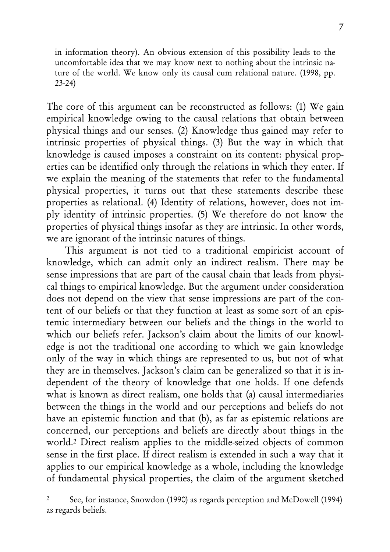in information theory). An obvious extension of this possibility leads to the uncomfortable idea that we may know next to nothing about the intrinsic nature of the world. We know only its causal cum relational nature. (1998, pp. 23-24)

The core of this argument can be reconstructed as follows: (1) We gain empirical knowledge owing to the causal relations that obtain between physical things and our senses. (2) Knowledge thus gained may refer to intrinsic properties of physical things. (3) But the way in which that knowledge is caused imposes a constraint on its content: physical properties can be identified only through the relations in which they enter. If we explain the meaning of the statements that refer to the fundamental physical properties, it turns out that these statements describe these properties as relational. (4) Identity of relations, however, does not imply identity of intrinsic properties. (5) We therefore do not know the properties of physical things insofar as they are intrinsic. In other words, we are ignorant of the intrinsic natures of things.

This argument is not tied to a traditional empiricist account of knowledge, which can admit only an indirect realism. There may be sense impressions that are part of the causal chain that leads from physical things to empirical knowledge. But the argument under consideration does not depend on the view that sense impressions are part of the content of our beliefs or that they function at least as some sort of an epistemic intermediary between our beliefs and the things in the world to which our beliefs refer. Jackson's claim about the limits of our knowledge is not the traditional one according to which we gain knowledge only of the way in which things are represented to us, but not of what they are in themselves. Jackson's claim can be generalized so that it is independent of the theory of knowledge that one holds. If one defends what is known as direct realism, one holds that (a) causal intermediaries between the things in the world and our perceptions and beliefs do not have an epistemic function and that (b), as far as epistemic relations are concerned, our perceptions and beliefs are directly about things in the world.2 Direct realism applies to the middle-seized objects of common sense in the first place. If direct realism is extended in such a way that it applies to our empirical knowledge as a whole, including the knowledge of fundamental physical properties, the claim of the argument sketched

<sup>2</sup> See, for instance, Snowdon (1990) as regards perception and McDowell (1994) as regards beliefs.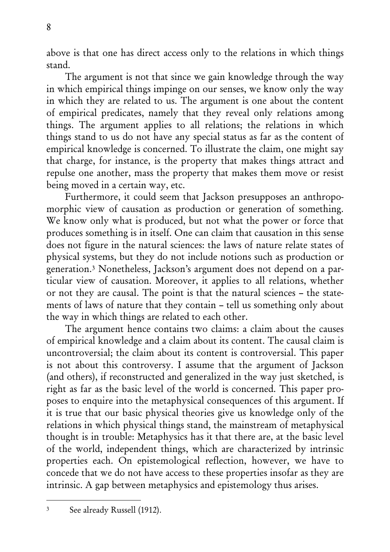above is that one has direct access only to the relations in which things stand.

The argument is not that since we gain knowledge through the way in which empirical things impinge on our senses, we know only the way in which they are related to us. The argument is one about the content of empirical predicates, namely that they reveal only relations among things. The argument applies to all relations; the relations in which things stand to us do not have any special status as far as the content of empirical knowledge is concerned. To illustrate the claim, one might say that charge, for instance, is the property that makes things attract and repulse one another, mass the property that makes them move or resist being moved in a certain way, etc.

Furthermore, it could seem that Jackson presupposes an anthropomorphic view of causation as production or generation of something. We know only what is produced, but not what the power or force that produces something is in itself. One can claim that causation in this sense does not figure in the natural sciences: the laws of nature relate states of physical systems, but they do not include notions such as production or generation.3 Nonetheless, Jackson's argument does not depend on a particular view of causation. Moreover, it applies to all relations, whether or not they are causal. The point is that the natural sciences – the statements of laws of nature that they contain – tell us something only about the way in which things are related to each other.

The argument hence contains two claims: a claim about the causes of empirical knowledge and a claim about its content. The causal claim is uncontroversial; the claim about its content is controversial. This paper is not about this controversy. I assume that the argument of Jackson (and others), if reconstructed and generalized in the way just sketched, is right as far as the basic level of the world is concerned. This paper proposes to enquire into the metaphysical consequences of this argument. If it is true that our basic physical theories give us knowledge only of the relations in which physical things stand, the mainstream of metaphysical thought is in trouble: Metaphysics has it that there are, at the basic level of the world, independent things, which are characterized by intrinsic properties each. On epistemological reflection, however, we have to concede that we do not have access to these properties insofar as they are intrinsic. A gap between metaphysics and epistemology thus arises.

<sup>3</sup> See already Russell (1912).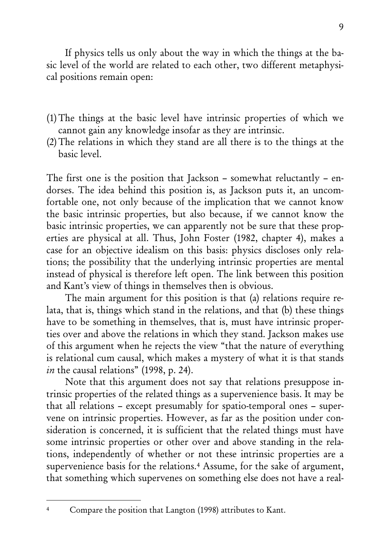If physics tells us only about the way in which the things at the basic level of the world are related to each other, two different metaphysical positions remain open:

- (1)The things at the basic level have intrinsic properties of which we cannot gain any knowledge insofar as they are intrinsic.
- (2) The relations in which they stand are all there is to the things at the basic level.

The first one is the position that Jackson – somewhat reluctantly – endorses. The idea behind this position is, as Jackson puts it, an uncomfortable one, not only because of the implication that we cannot know the basic intrinsic properties, but also because, if we cannot know the basic intrinsic properties, we can apparently not be sure that these properties are physical at all. Thus, John Foster (1982, chapter 4), makes a case for an objective idealism on this basis: physics discloses only relations; the possibility that the underlying intrinsic properties are mental instead of physical is therefore left open. The link between this position and Kant's view of things in themselves then is obvious.

The main argument for this position is that (a) relations require relata, that is, things which stand in the relations, and that (b) these things have to be something in themselves, that is, must have intrinsic properties over and above the relations in which they stand. Jackson makes use of this argument when he rejects the view "that the nature of everything is relational cum causal, which makes a mystery of what it is that stands in the causal relations" (1998, p. 24).

Note that this argument does not say that relations presuppose intrinsic properties of the related things as a supervenience basis. It may be that all relations – except presumably for spatio-temporal ones – supervene on intrinsic properties. However, as far as the position under consideration is concerned, it is sufficient that the related things must have some intrinsic properties or other over and above standing in the relations, independently of whether or not these intrinsic properties are a supervenience basis for the relations.4 Assume, for the sake of argument, that something which supervenes on something else does not have a real-

Compare the position that Langton (1998) attributes to Kant.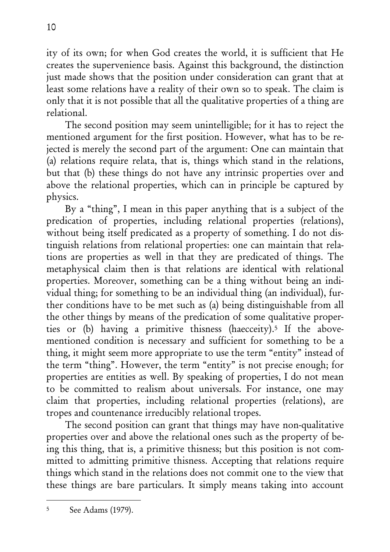ity of its own; for when God creates the world, it is sufficient that He creates the supervenience basis. Against this background, the distinction just made shows that the position under consideration can grant that at least some relations have a reality of their own so to speak. The claim is only that it is not possible that all the qualitative properties of a thing are relational.

The second position may seem unintelligible; for it has to reject the mentioned argument for the first position. However, what has to be rejected is merely the second part of the argument: One can maintain that (a) relations require relata, that is, things which stand in the relations, but that (b) these things do not have any intrinsic properties over and above the relational properties, which can in principle be captured by physics.

By a "thing", I mean in this paper anything that is a subject of the predication of properties, including relational properties (relations), without being itself predicated as a property of something. I do not distinguish relations from relational properties: one can maintain that relations are properties as well in that they are predicated of things. The metaphysical claim then is that relations are identical with relational properties. Moreover, something can be a thing without being an individual thing; for something to be an individual thing (an individual), further conditions have to be met such as (a) being distinguishable from all the other things by means of the predication of some qualitative properties or (b) having a primitive thisness (haecceity).<sup>5</sup> If the abovementioned condition is necessary and sufficient for something to be a thing, it might seem more appropriate to use the term "entity" instead of the term "thing". However, the term "entity" is not precise enough; for properties are entities as well. By speaking of properties, I do not mean to be committed to realism about universals. For instance, one may claim that properties, including relational properties (relations), are tropes and countenance irreducibly relational tropes.

The second position can grant that things may have non-qualitative properties over and above the relational ones such as the property of being this thing, that is, a primitive thisness; but this position is not committed to admitting primitive thisness. Accepting that relations require things which stand in the relations does not commit one to the view that these things are bare particulars. It simply means taking into account

<sup>5</sup> See Adams (1979).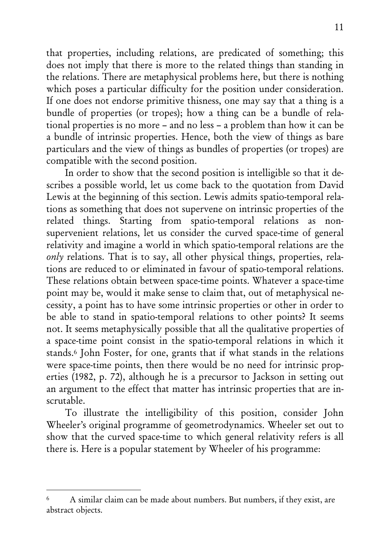that properties, including relations, are predicated of something; this does not imply that there is more to the related things than standing in the relations. There are metaphysical problems here, but there is nothing which poses a particular difficulty for the position under consideration. If one does not endorse primitive thisness, one may say that a thing is a bundle of properties (or tropes); how a thing can be a bundle of relational properties is no more – and no less – a problem than how it can be a bundle of intrinsic properties. Hence, both the view of things as bare particulars and the view of things as bundles of properties (or tropes) are compatible with the second position.

In order to show that the second position is intelligible so that it describes a possible world, let us come back to the quotation from David Lewis at the beginning of this section. Lewis admits spatio-temporal relations as something that does not supervene on intrinsic properties of the related things. Starting from spatio-temporal relations as nonsupervenient relations, let us consider the curved space-time of general relativity and imagine a world in which spatio-temporal relations are the only relations. That is to say, all other physical things, properties, relations are reduced to or eliminated in favour of spatio-temporal relations. These relations obtain between space-time points. Whatever a space-time point may be, would it make sense to claim that, out of metaphysical necessity, a point has to have some intrinsic properties or other in order to be able to stand in spatio-temporal relations to other points? It seems not. It seems metaphysically possible that all the qualitative properties of a space-time point consist in the spatio-temporal relations in which it stands.6 John Foster, for one, grants that if what stands in the relations were space-time points, then there would be no need for intrinsic properties (1982, p. 72), although he is a precursor to Jackson in setting out an argument to the effect that matter has intrinsic properties that are inscrutable.

To illustrate the intelligibility of this position, consider John Wheeler's original programme of geometrodynamics. Wheeler set out to show that the curved space-time to which general relativity refers is all there is. Here is a popular statement by Wheeler of his programme:

<sup>6</sup> A similar claim can be made about numbers. But numbers, if they exist, are abstract objects.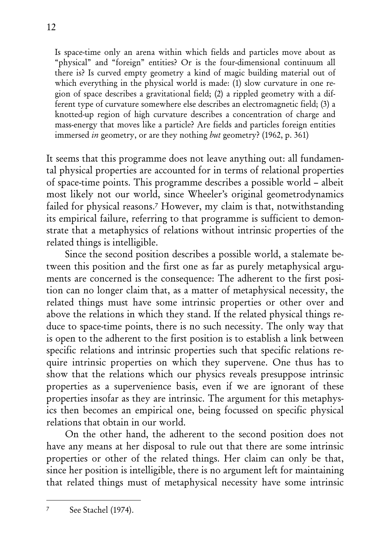Is space-time only an arena within which fields and particles move about as "physical" and "foreign" entities? Or is the four-dimensional continuum all there is? Is curved empty geometry a kind of magic building material out of which everything in the physical world is made: (1) slow curvature in one region of space describes a gravitational field; (2) a rippled geometry with a different type of curvature somewhere else describes an electromagnetic field; (3) a knotted-up region of high curvature describes a concentration of charge and mass-energy that moves like a particle? Are fields and particles foreign entities immersed *in* geometry, or are they nothing *but* geometry? (1962, p. 361)

It seems that this programme does not leave anything out: all fundamental physical properties are accounted for in terms of relational properties of space-time points. This programme describes a possible world – albeit most likely not our world, since Wheeler's original geometrodynamics failed for physical reasons.<sup>7</sup> However, my claim is that, notwithstanding its empirical failure, referring to that programme is sufficient to demonstrate that a metaphysics of relations without intrinsic properties of the related things is intelligible.

Since the second position describes a possible world, a stalemate between this position and the first one as far as purely metaphysical arguments are concerned is the consequence: The adherent to the first position can no longer claim that, as a matter of metaphysical necessity, the related things must have some intrinsic properties or other over and above the relations in which they stand. If the related physical things reduce to space-time points, there is no such necessity. The only way that is open to the adherent to the first position is to establish a link between specific relations and intrinsic properties such that specific relations require intrinsic properties on which they supervene. One thus has to show that the relations which our physics reveals presuppose intrinsic properties as a supervenience basis, even if we are ignorant of these properties insofar as they are intrinsic. The argument for this metaphysics then becomes an empirical one, being focussed on specific physical relations that obtain in our world.

On the other hand, the adherent to the second position does not have any means at her disposal to rule out that there are some intrinsic properties or other of the related things. Her claim can only be that, since her position is intelligible, there is no argument left for maintaining that related things must of metaphysical necessity have some intrinsic

<sup>7</sup> See Stachel (1974).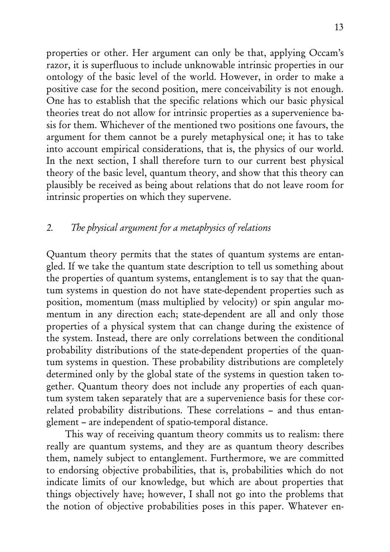properties or other. Her argument can only be that, applying Occam's razor, it is superfluous to include unknowable intrinsic properties in our ontology of the basic level of the world. However, in order to make a positive case for the second position, mere conceivability is not enough. One has to establish that the specific relations which our basic physical theories treat do not allow for intrinsic properties as a supervenience basis for them. Whichever of the mentioned two positions one favours, the argument for them cannot be a purely metaphysical one; it has to take into account empirical considerations, that is, the physics of our world. In the next section, I shall therefore turn to our current best physical theory of the basic level, quantum theory, and show that this theory can plausibly be received as being about relations that do not leave room for intrinsic properties on which they supervene.

## 2. The physical argument for a metaphysics of relations

Quantum theory permits that the states of quantum systems are entangled. If we take the quantum state description to tell us something about the properties of quantum systems, entanglement is to say that the quantum systems in question do not have state-dependent properties such as position, momentum (mass multiplied by velocity) or spin angular momentum in any direction each; state-dependent are all and only those properties of a physical system that can change during the existence of the system. Instead, there are only correlations between the conditional probability distributions of the state-dependent properties of the quantum systems in question. These probability distributions are completely determined only by the global state of the systems in question taken together. Quantum theory does not include any properties of each quantum system taken separately that are a supervenience basis for these correlated probability distributions. These correlations – and thus entanglement – are independent of spatio-temporal distance.

This way of receiving quantum theory commits us to realism: there really are quantum systems, and they are as quantum theory describes them, namely subject to entanglement. Furthermore, we are committed to endorsing objective probabilities, that is, probabilities which do not indicate limits of our knowledge, but which are about properties that things objectively have; however, I shall not go into the problems that the notion of objective probabilities poses in this paper. Whatever en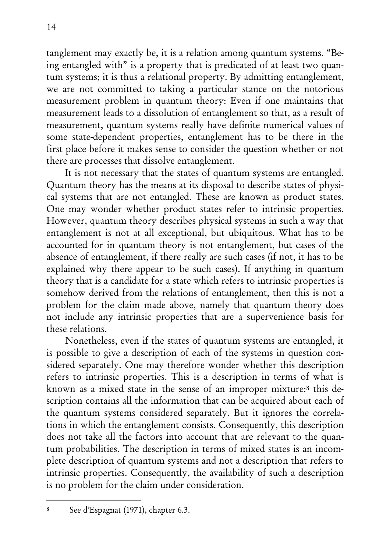tanglement may exactly be, it is a relation among quantum systems. "Being entangled with" is a property that is predicated of at least two quantum systems; it is thus a relational property. By admitting entanglement, we are not committed to taking a particular stance on the notorious measurement problem in quantum theory: Even if one maintains that measurement leads to a dissolution of entanglement so that, as a result of measurement, quantum systems really have definite numerical values of some state-dependent properties, entanglement has to be there in the first place before it makes sense to consider the question whether or not there are processes that dissolve entanglement.

It is not necessary that the states of quantum systems are entangled. Quantum theory has the means at its disposal to describe states of physical systems that are not entangled. These are known as product states. One may wonder whether product states refer to intrinsic properties. However, quantum theory describes physical systems in such a way that entanglement is not at all exceptional, but ubiquitous. What has to be accounted for in quantum theory is not entanglement, but cases of the absence of entanglement, if there really are such cases (if not, it has to be explained why there appear to be such cases). If anything in quantum theory that is a candidate for a state which refers to intrinsic properties is somehow derived from the relations of entanglement, then this is not a problem for the claim made above, namely that quantum theory does not include any intrinsic properties that are a supervenience basis for these relations.

Nonetheless, even if the states of quantum systems are entangled, it is possible to give a description of each of the systems in question considered separately. One may therefore wonder whether this description refers to intrinsic properties. This is a description in terms of what is known as a mixed state in the sense of an improper mixture:8 this description contains all the information that can be acquired about each of the quantum systems considered separately. But it ignores the correlations in which the entanglement consists. Consequently, this description does not take all the factors into account that are relevant to the quantum probabilities. The description in terms of mixed states is an incomplete description of quantum systems and not a description that refers to intrinsic properties. Consequently, the availability of such a description is no problem for the claim under consideration.

<sup>8</sup> See d'Espagnat (1971), chapter 6.3.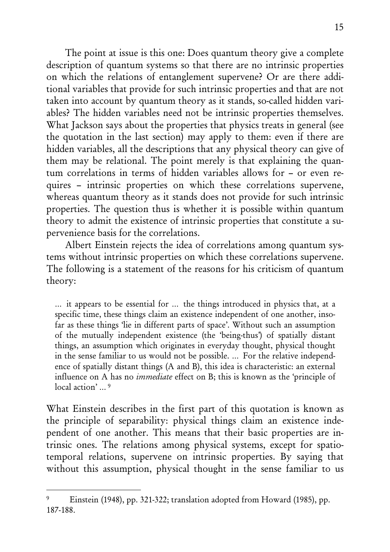The point at issue is this one: Does quantum theory give a complete description of quantum systems so that there are no intrinsic properties on which the relations of entanglement supervene? Or are there additional variables that provide for such intrinsic properties and that are not taken into account by quantum theory as it stands, so-called hidden variables? The hidden variables need not be intrinsic properties themselves. What Jackson says about the properties that physics treats in general (see the quotation in the last section) may apply to them: even if there are hidden variables, all the descriptions that any physical theory can give of them may be relational. The point merely is that explaining the quantum correlations in terms of hidden variables allows for – or even requires – intrinsic properties on which these correlations supervene, whereas quantum theory as it stands does not provide for such intrinsic properties. The question thus is whether it is possible within quantum theory to admit the existence of intrinsic properties that constitute a supervenience basis for the correlations.

Albert Einstein rejects the idea of correlations among quantum systems without intrinsic properties on which these correlations supervene. The following is a statement of the reasons for his criticism of quantum theory:

… it appears to be essential for … the things introduced in physics that, at a specific time, these things claim an existence independent of one another, insofar as these things 'lie in different parts of space'. Without such an assumption of the mutually independent existence (the 'being-thus') of spatially distant things, an assumption which originates in everyday thought, physical thought in the sense familiar to us would not be possible. … For the relative independence of spatially distant things (A and B), this idea is characteristic: an external influence on A has no immediate effect on B; this is known as the 'principle of local action' ... <sup>9</sup>

What Einstein describes in the first part of this quotation is known as the principle of separability: physical things claim an existence independent of one another. This means that their basic properties are intrinsic ones. The relations among physical systems, except for spatiotemporal relations, supervene on intrinsic properties. By saying that without this assumption, physical thought in the sense familiar to us

<sup>9</sup> Einstein (1948), pp. 321-322; translation adopted from Howard (1985), pp. 187-188.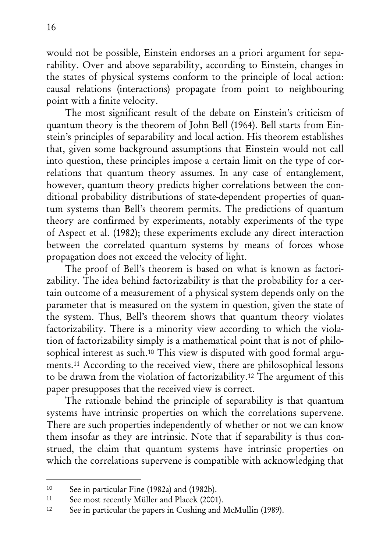would not be possible, Einstein endorses an a priori argument for separability. Over and above separability, according to Einstein, changes in the states of physical systems conform to the principle of local action: causal relations (interactions) propagate from point to neighbouring point with a finite velocity.

The most significant result of the debate on Einstein's criticism of quantum theory is the theorem of John Bell (1964). Bell starts from Einstein's principles of separability and local action. His theorem establishes that, given some background assumptions that Einstein would not call into question, these principles impose a certain limit on the type of correlations that quantum theory assumes. In any case of entanglement, however, quantum theory predicts higher correlations between the conditional probability distributions of state-dependent properties of quantum systems than Bell's theorem permits. The predictions of quantum theory are confirmed by experiments, notably experiments of the type of Aspect et al. (1982); these experiments exclude any direct interaction between the correlated quantum systems by means of forces whose propagation does not exceed the velocity of light.

The proof of Bell's theorem is based on what is known as factorizability. The idea behind factorizability is that the probability for a certain outcome of a measurement of a physical system depends only on the parameter that is measured on the system in question, given the state of the system. Thus, Bell's theorem shows that quantum theory violates factorizability. There is a minority view according to which the violation of factorizability simply is a mathematical point that is not of philosophical interest as such.10 This view is disputed with good formal arguments.11 According to the received view, there are philosophical lessons to be drawn from the violation of factorizability.12 The argument of this paper presupposes that the received view is correct.

The rationale behind the principle of separability is that quantum systems have intrinsic properties on which the correlations supervene. There are such properties independently of whether or not we can know them insofar as they are intrinsic. Note that if separability is thus construed, the claim that quantum systems have intrinsic properties on which the correlations supervene is compatible with acknowledging that

<sup>10</sup> See in particular Fine (1982a) and (1982b).

<sup>11</sup> See most recently Müller and Placek (2001).

<sup>12</sup> See in particular the papers in Cushing and McMullin (1989).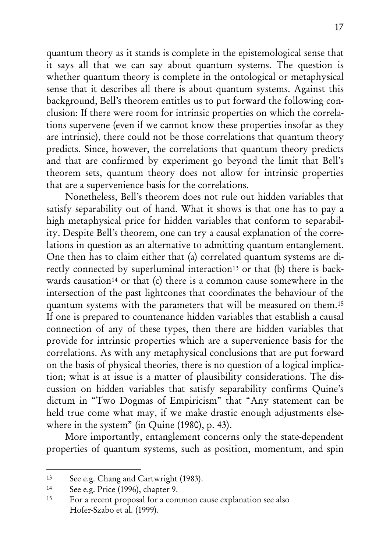quantum theory as it stands is complete in the epistemological sense that it says all that we can say about quantum systems. The question is whether quantum theory is complete in the ontological or metaphysical sense that it describes all there is about quantum systems. Against this background, Bell's theorem entitles us to put forward the following conclusion: If there were room for intrinsic properties on which the correlations supervene (even if we cannot know these properties insofar as they are intrinsic), there could not be those correlations that quantum theory predicts. Since, however, the correlations that quantum theory predicts and that are confirmed by experiment go beyond the limit that Bell's theorem sets, quantum theory does not allow for intrinsic properties that are a supervenience basis for the correlations.

Nonetheless, Bell's theorem does not rule out hidden variables that satisfy separability out of hand. What it shows is that one has to pay a high metaphysical price for hidden variables that conform to separability. Despite Bell's theorem, one can try a causal explanation of the correlations in question as an alternative to admitting quantum entanglement. One then has to claim either that (a) correlated quantum systems are directly connected by superluminal interaction<sup>13</sup> or that (b) there is backwards causation<sup>14</sup> or that (c) there is a common cause somewhere in the intersection of the past lightcones that coordinates the behaviour of the quantum systems with the parameters that will be measured on them.15 If one is prepared to countenance hidden variables that establish a causal connection of any of these types, then there are hidden variables that provide for intrinsic properties which are a supervenience basis for the correlations. As with any metaphysical conclusions that are put forward on the basis of physical theories, there is no question of a logical implication; what is at issue is a matter of plausibility considerations. The discussion on hidden variables that satisfy separability confirms Quine's dictum in "Two Dogmas of Empiricism" that "Any statement can be held true come what may, if we make drastic enough adjustments elsewhere in the system" (in Quine (1980), p. 43).

More importantly, entanglement concerns only the state-dependent properties of quantum systems, such as position, momentum, and spin

<sup>13</sup> See e.g. Chang and Cartwright (1983).

<sup>14</sup> See e.g. Price (1996), chapter 9.

<sup>15</sup> For a recent proposal for a common cause explanation see also Hofer-Szabo et al. (1999).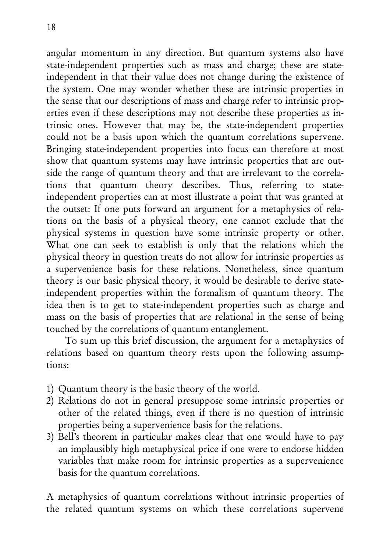angular momentum in any direction. But quantum systems also have state-independent properties such as mass and charge; these are stateindependent in that their value does not change during the existence of the system. One may wonder whether these are intrinsic properties in the sense that our descriptions of mass and charge refer to intrinsic properties even if these descriptions may not describe these properties as intrinsic ones. However that may be, the state-independent properties could not be a basis upon which the quantum correlations supervene. Bringing state-independent properties into focus can therefore at most show that quantum systems may have intrinsic properties that are outside the range of quantum theory and that are irrelevant to the correlations that quantum theory describes. Thus, referring to stateindependent properties can at most illustrate a point that was granted at the outset: If one puts forward an argument for a metaphysics of relations on the basis of a physical theory, one cannot exclude that the physical systems in question have some intrinsic property or other. What one can seek to establish is only that the relations which the physical theory in question treats do not allow for intrinsic properties as a supervenience basis for these relations. Nonetheless, since quantum theory is our basic physical theory, it would be desirable to derive stateindependent properties within the formalism of quantum theory. The idea then is to get to state-independent properties such as charge and mass on the basis of properties that are relational in the sense of being touched by the correlations of quantum entanglement.

To sum up this brief discussion, the argument for a metaphysics of relations based on quantum theory rests upon the following assumptions:

- 1) Quantum theory is the basic theory of the world.
- 2) Relations do not in general presuppose some intrinsic properties or other of the related things, even if there is no question of intrinsic properties being a supervenience basis for the relations.
- 3) Bell's theorem in particular makes clear that one would have to pay an implausibly high metaphysical price if one were to endorse hidden variables that make room for intrinsic properties as a supervenience basis for the quantum correlations.

A metaphysics of quantum correlations without intrinsic properties of the related quantum systems on which these correlations supervene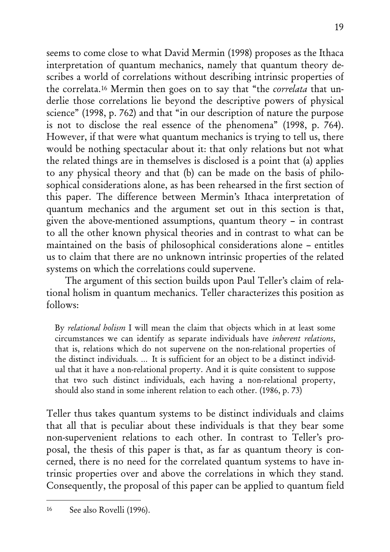seems to come close to what David Mermin (1998) proposes as the Ithaca interpretation of quantum mechanics, namely that quantum theory describes a world of correlations without describing intrinsic properties of the correlata.16 Mermin then goes on to say that "the correlata that underlie those correlations lie beyond the descriptive powers of physical science" (1998, p. 762) and that "in our description of nature the purpose is not to disclose the real essence of the phenomena" (1998, p. 764). However, if that were what quantum mechanics is trying to tell us, there would be nothing spectacular about it: that only relations but not what the related things are in themselves is disclosed is a point that (a) applies to any physical theory and that (b) can be made on the basis of philosophical considerations alone, as has been rehearsed in the first section of this paper. The difference between Mermin's Ithaca interpretation of quantum mechanics and the argument set out in this section is that, given the above-mentioned assumptions, quantum theory – in contrast to all the other known physical theories and in contrast to what can be maintained on the basis of philosophical considerations alone – entitles us to claim that there are no unknown intrinsic properties of the related systems on which the correlations could supervene.

The argument of this section builds upon Paul Teller's claim of relational holism in quantum mechanics. Teller characterizes this position as follows:

By relational holism I will mean the claim that objects which in at least some circumstances we can identify as separate individuals have inherent relations, that is, relations which do not supervene on the non-relational properties of the distinct individuals. … It is sufficient for an object to be a distinct individual that it have a non-relational property. And it is quite consistent to suppose that two such distinct individuals, each having a non-relational property, should also stand in some inherent relation to each other. (1986, p. 73)

Teller thus takes quantum systems to be distinct individuals and claims that all that is peculiar about these individuals is that they bear some non-supervenient relations to each other. In contrast to Teller's proposal, the thesis of this paper is that, as far as quantum theory is concerned, there is no need for the correlated quantum systems to have intrinsic properties over and above the correlations in which they stand. Consequently, the proposal of this paper can be applied to quantum field

<sup>16</sup> See also Rovelli (1996).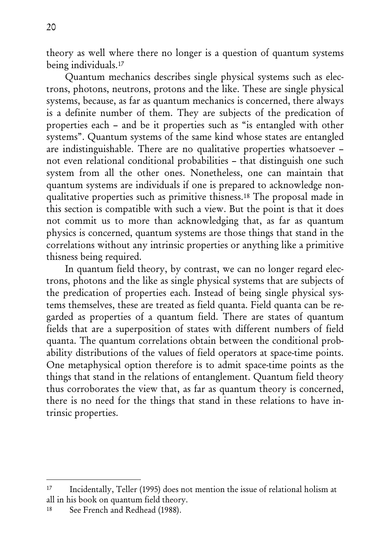theory as well where there no longer is a question of quantum systems being individuals.17

Quantum mechanics describes single physical systems such as electrons, photons, neutrons, protons and the like. These are single physical systems, because, as far as quantum mechanics is concerned, there always is a definite number of them. They are subjects of the predication of properties each – and be it properties such as "is entangled with other systems". Quantum systems of the same kind whose states are entangled are indistinguishable. There are no qualitative properties whatsoever – not even relational conditional probabilities – that distinguish one such system from all the other ones. Nonetheless, one can maintain that quantum systems are individuals if one is prepared to acknowledge nonqualitative properties such as primitive thisness.18 The proposal made in this section is compatible with such a view. But the point is that it does not commit us to more than acknowledging that, as far as quantum physics is concerned, quantum systems are those things that stand in the correlations without any intrinsic properties or anything like a primitive thisness being required.

In quantum field theory, by contrast, we can no longer regard electrons, photons and the like as single physical systems that are subjects of the predication of properties each. Instead of being single physical systems themselves, these are treated as field quanta. Field quanta can be regarded as properties of a quantum field. There are states of quantum fields that are a superposition of states with different numbers of field quanta. The quantum correlations obtain between the conditional probability distributions of the values of field operators at space-time points. One metaphysical option therefore is to admit space-time points as the things that stand in the relations of entanglement. Quantum field theory thus corroborates the view that, as far as quantum theory is concerned, there is no need for the things that stand in these relations to have intrinsic properties.

<sup>17</sup> Incidentally, Teller (1995) does not mention the issue of relational holism at all in his book on quantum field theory.

<sup>18</sup> See French and Redhead (1988).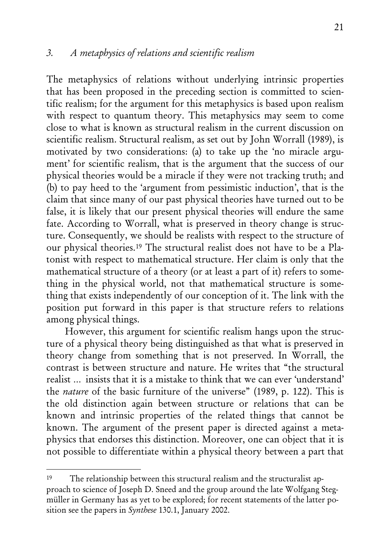The metaphysics of relations without underlying intrinsic properties that has been proposed in the preceding section is committed to scientific realism; for the argument for this metaphysics is based upon realism with respect to quantum theory. This metaphysics may seem to come close to what is known as structural realism in the current discussion on scientific realism. Structural realism, as set out by John Worrall (1989), is motivated by two considerations: (a) to take up the 'no miracle argument' for scientific realism, that is the argument that the success of our physical theories would be a miracle if they were not tracking truth; and (b) to pay heed to the 'argument from pessimistic induction', that is the claim that since many of our past physical theories have turned out to be false, it is likely that our present physical theories will endure the same fate. According to Worrall, what is preserved in theory change is structure. Consequently, we should be realists with respect to the structure of our physical theories.19 The structural realist does not have to be a Platonist with respect to mathematical structure. Her claim is only that the mathematical structure of a theory (or at least a part of it) refers to something in the physical world, not that mathematical structure is something that exists independently of our conception of it. The link with the position put forward in this paper is that structure refers to relations among physical things.

However, this argument for scientific realism hangs upon the structure of a physical theory being distinguished as that what is preserved in theory change from something that is not preserved. In Worrall, the contrast is between structure and nature. He writes that "the structural realist … insists that it is a mistake to think that we can ever 'understand' the nature of the basic furniture of the universe" (1989, p. 122). This is the old distinction again between structure or relations that can be known and intrinsic properties of the related things that cannot be known. The argument of the present paper is directed against a metaphysics that endorses this distinction. Moreover, one can object that it is not possible to differentiate within a physical theory between a part that

<sup>19</sup> The relationship between this structural realism and the structuralist approach to science of Joseph D. Sneed and the group around the late Wolfgang Stegmüller in Germany has as yet to be explored; for recent statements of the latter position see the papers in *Synthese* 130.1, January 2002.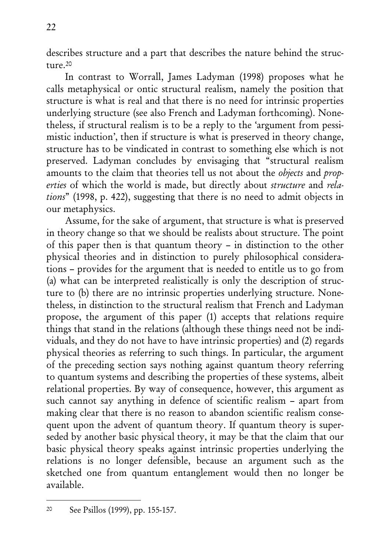describes structure and a part that describes the nature behind the structure.20

In contrast to Worrall, James Ladyman (1998) proposes what he calls metaphysical or ontic structural realism, namely the position that structure is what is real and that there is no need for intrinsic properties underlying structure (see also French and Ladyman forthcoming). Nonetheless, if structural realism is to be a reply to the 'argument from pessimistic induction', then if structure is what is preserved in theory change, structure has to be vindicated in contrast to something else which is not preserved. Ladyman concludes by envisaging that "structural realism amounts to the claim that theories tell us not about the objects and properties of which the world is made, but directly about structure and relations" (1998, p. 422), suggesting that there is no need to admit objects in our metaphysics.

Assume, for the sake of argument, that structure is what is preserved in theory change so that we should be realists about structure. The point of this paper then is that quantum theory – in distinction to the other physical theories and in distinction to purely philosophical considerations – provides for the argument that is needed to entitle us to go from (a) what can be interpreted realistically is only the description of structure to (b) there are no intrinsic properties underlying structure. Nonetheless, in distinction to the structural realism that French and Ladyman propose, the argument of this paper (1) accepts that relations require things that stand in the relations (although these things need not be individuals, and they do not have to have intrinsic properties) and (2) regards physical theories as referring to such things. In particular, the argument of the preceding section says nothing against quantum theory referring to quantum systems and describing the properties of these systems, albeit relational properties. By way of consequence, however, this argument as such cannot say anything in defence of scientific realism – apart from making clear that there is no reason to abandon scientific realism consequent upon the advent of quantum theory. If quantum theory is superseded by another basic physical theory, it may be that the claim that our basic physical theory speaks against intrinsic properties underlying the relations is no longer defensible, because an argument such as the sketched one from quantum entanglement would then no longer be available.

<sup>20</sup> See Psillos (1999), pp. 155-157.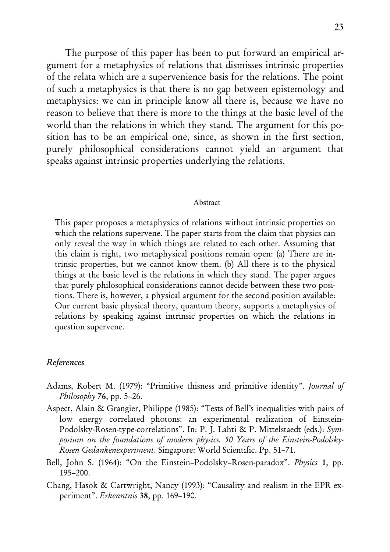The purpose of this paper has been to put forward an empirical argument for a metaphysics of relations that dismisses intrinsic properties of the relata which are a supervenience basis for the relations. The point of such a metaphysics is that there is no gap between epistemology and metaphysics: we can in principle know all there is, because we have no reason to believe that there is more to the things at the basic level of the world than the relations in which they stand. The argument for this position has to be an empirical one, since, as shown in the first section, purely philosophical considerations cannot yield an argument that speaks against intrinsic properties underlying the relations.

#### Abstract

This paper proposes a metaphysics of relations without intrinsic properties on which the relations supervene. The paper starts from the claim that physics can only reveal the way in which things are related to each other. Assuming that this claim is right, two metaphysical positions remain open: (a) There are intrinsic properties, but we cannot know them. (b) All there is to the physical things at the basic level is the relations in which they stand. The paper argues that purely philosophical considerations cannot decide between these two positions. There is, however, a physical argument for the second position available: Our current basic physical theory, quantum theory, supports a metaphysics of relations by speaking against intrinsic properties on which the relations in question supervene.

#### References

- Adams, Robert M. (1979): "Primitive thisness and primitive identity". Journal of Philosophy  $76$ , pp. 5–26.
- Aspect, Alain & Grangier, Philippe (1985): "Tests of Bell's inequalities with pairs of low energy correlated photons: an experimental realization of Einstein-Podolsky-Rosen-type-correlations". In: P. J. Lahti & P. Mittelstaedt (eds.): Symposium on the foundations of modern physics. 50 Years of the Einstein-Podolsky-Rosen Gedankenexperiment. Singapore: World Scientific. Pp. 51–71.
- Bell, John S. (1964): "On the Einstein–Podolsky–Rosen-paradox". Physics 1, pp. 195–200.
- Chang, Hasok & Cartwright, Nancy (1993): "Causality and realism in the EPR experiment". Erkenntnis 38, pp. 169–190.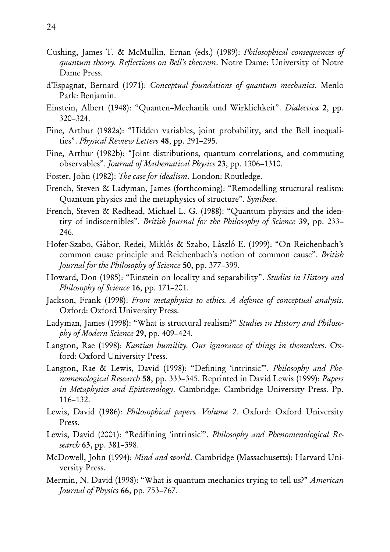- Cushing, James T. & McMullin, Ernan (eds.) (1989): Philosophical consequences of quantum theory. Reflections on Bell's theorem. Notre Dame: University of Notre Dame Press.
- d'Espagnat, Bernard (1971): Conceptual foundations of quantum mechanics. Menlo Park: Benjamin.
- Einstein, Albert (1948): "Quanten–Mechanik und Wirklichkeit". Dialectica 2, pp. 320–324.
- Fine, Arthur (1982a): "Hidden variables, joint probability, and the Bell inequalities". Physical Review Letters 48, pp. 291–295.
- Fine, Arthur (1982b): "Joint distributions, quantum correlations, and commuting observables". Journal of Mathematical Physics 23, pp. 1306–1310.
- Foster, John (1982): The case for idealism. London: Routledge.
- French, Steven & Ladyman, James (forthcoming): "Remodelling structural realism: Quantum physics and the metaphysics of structure". Synthese.
- French, Steven & Redhead, Michael L. G. (1988): "Quantum physics and the identity of indiscernibles". British Journal for the Philosophy of Science 39, pp. 233– 246.
- Hofer-Szabo, Gábor, Redei, Miklós & Szabo, László E. (1999): "On Reichenbach's common cause principle and Reichenbach's notion of common cause". British Journal for the Philosophy of Science 50, pp. 377–399.
- Howard, Don (1985): "Einstein on locality and separability". Studies in History and Philosophy of Science 16, pp. 171-201.
- Jackson, Frank (1998): From metaphysics to ethics. A defence of conceptual analysis. Oxford: Oxford University Press.
- Ladyman, James (1998): "What is structural realism?" Studies in History and Philosophy of Modern Science 29, pp. 409–424.
- Langton, Rae (1998): Kantian humility. Our ignorance of things in themselves. Oxford: Oxford University Press.
- Langton, Rae & Lewis, David (1998): "Defining 'intrinsic'". Philosophy and Phenomenological Research 58, pp. 333–345. Reprinted in David Lewis (1999): Papers in Metaphysics and Epistemology. Cambridge: Cambridge University Press. Pp. 116–132.
- Lewis, David (1986): Philosophical papers. Volume 2. Oxford: Oxford University Press.
- Lewis, David (2001): "Redifining 'intrinsic'". Philosophy and Phenomenological Research **63**, pp. 381–398.
- McDowell, John (1994): Mind and world. Cambridge (Massachusetts): Harvard University Press.
- Mermin, N. David (1998): "What is quantum mechanics trying to tell us?" American Journal of Physics 66, pp. 753–767.